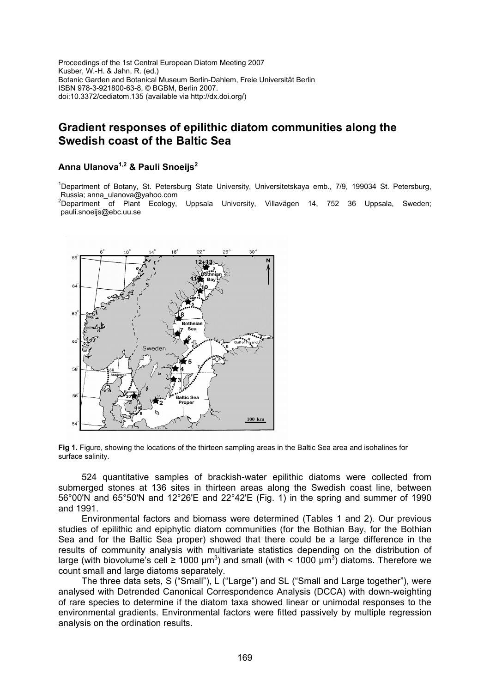Proceedings of the 1st Central European Diatom Meeting 2007 Kusber, W.-H. & Jahn, R. (ed.) Botanic Garden and Botanical Museum Berlin-Dahlem, Freie Universität Berlin ISBN 978-3-921800-63-8, © BGBM, Berlin 2007. doi:10.3372/cediatom.135 (available via http://dx.doi.org/)

# **Gradient responses of epilithic diatom communities along the Swedish coast of the Baltic Sea**

## **Anna Ulanova1,2 & Pauli Snoeijs2**

<sup>1</sup>Department of Botany, St. Petersburg State University, Universitetskaya emb., 7/9, 199034 St. Petersburg, Russia; anna\_ulanova@yahoo.com

 $2$ Department of Plant Ecology, Uppsala University, Villavägen 14, 752 36 Uppsala, Sweden; pauli.snoeijs@ebc.uu.se



**Fig 1.** Figure, showing the locations of the thirteen sampling areas in the Baltic Sea area and isohalines for surface salinity.

524 quantitative samples of brackish-water epilithic diatoms were collected from submerged stones at 136 sites in thirteen areas along the Swedish coast line, between 56°00'N and 65°50'N and 12°26'E and 22°42'E (Fig. 1) in the spring and summer of 1990 and 1991.

Environmental factors and biomass were determined (Tables 1 and 2). Our previous studies of epilithic and epiphytic diatom communities (for the Bothian Bay, for the Bothian Sea and for the Baltic Sea proper) showed that there could be a large difference in the results of community analysis with multivariate statistics depending on the distribution of large (with biovolume's cell  $\geq 1000 \ \mu m^3$ ) and small (with < 1000  $\mu m^3$ ) diatoms. Therefore we count small and large diatoms separately.

The three data sets, S ("Small"), L ("Large") and SL ("Small and Large together"), were analysed with Detrended Canonical Correspondence Analysis (DCCA) with down-weighting of rare species to determine if the diatom taxa showed linear or unimodal responses to the environmental gradients. Environmental factors were fitted passively by multiple regression analysis on the ordination results.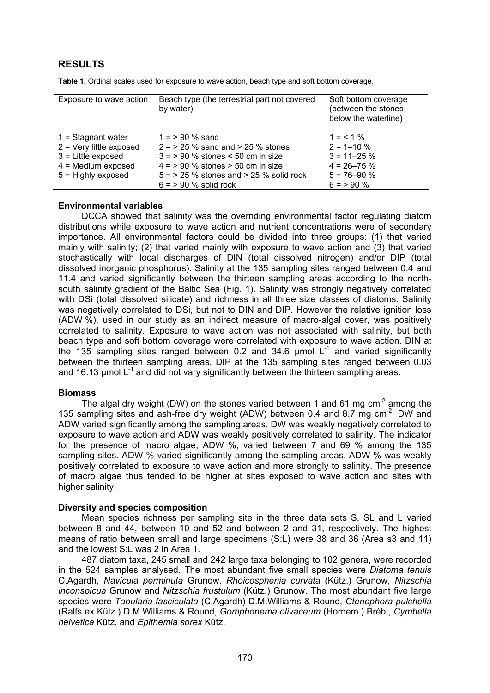## **RESULTS**

| Exposure to wave action                                                                                                   | Beach type (the terrestrial part not covered<br>by water)                                                                                                                                                 | Soft bottom coverage<br>(between the stones<br>below the waterline)                                  |  |  |  |
|---------------------------------------------------------------------------------------------------------------------------|-----------------------------------------------------------------------------------------------------------------------------------------------------------------------------------------------------------|------------------------------------------------------------------------------------------------------|--|--|--|
| $1 =$ Stagnant water<br>$2 =$ Very little exposed<br>$3$ = Little exposed<br>$4 =$ Medium exposed<br>$5$ = Highly exposed | $1 = 90 \%$ sand<br>$2 = 25$ % sand and $> 25$ % stones<br>$3 = 90\%$ stones < 50 cm in size<br>$4 = 90\%$ stones $> 50$ cm in size<br>$5 = 25$ % stones and $> 25$ % solid rock<br>$6 = 90$ % solid rock | $1 = 1\%$<br>$2 = 1 - 10 %$<br>$3 = 11 - 25 \%$<br>$4 = 26 - 75 \%$<br>$5 = 76 - 90 %$<br>$6 = 90\%$ |  |  |  |

**Table 1.** Ordinal scales used for exposure to wave action, beach type and soft bottom coverage.

#### **Environmental variables**

DCCA showed that salinity was the overriding environmental factor regulating diatom distributions while exposure to wave action and nutrient concentrations were of secondary importance. All environmental factors could be divided into three groups: (1) that varied mainly with salinity; (2) that varied mainly with exposure to wave action and (3) that varied stochastically with local discharges of DIN (total dissolved nitrogen) and/or DIP (total dissolved inorganic phosphorus). Salinity at the 135 sampling sites ranged between 0.4 and 11.4 and varied significantly between the thirteen sampling areas according to the northsouth salinity gradient of the Baltic Sea (Fig. 1). Salinity was strongly negatively correlated with DSi (total dissolved silicate) and richness in all three size classes of diatoms. Salinity was negatively correlated to DSi, but not to DIN and DIP. However the relative ignition loss (ADW %), used in our study as an indirect measure of macro-algal cover, was positively correlated to salinity. Exposure to wave action was not associated with salinity, but both beach type and soft bottom coverage were correlated with exposure to wave action. DIN at the 135 sampling sites ranged between 0.2 and 34.6  $\mu$ mol L<sup>-1</sup> and varied significantly between the thirteen sampling areas. DIP at the 135 sampling sites ranged between 0.03 and 16.13  $\mu$ mol L<sup>-1</sup> and did not vary significantly between the thirteen sampling areas.

### **Biomass**

The algal dry weight (DW) on the stones varied between 1 and 61 mg  $cm<sup>-2</sup>$  among the 135 sampling sites and ash-free dry weight (ADW) between 0.4 and 8.7 mg  $cm<sup>2</sup>$ . DW and ADW varied significantly among the sampling areas. DW was weakly negatively correlated to exposure to wave action and ADW was weakly positively correlated to salinity. The indicator for the presence of macro algae, ADW %, varied between 7 and 69 % among the 135 sampling sites. ADW % varied significantly among the sampling areas. ADW % was weakly positively correlated to exposure to wave action and more strongly to salinity. The presence of macro algae thus tended to be higher at sites exposed to wave action and sites with higher salinity.

### **Diversity and species composition**

Mean species richness per sampling site in the three data sets S, SL and L varied between 8 and 44, between 10 and 52 and between 2 and 31, respectively. The highest means of ratio between small and large specimens (S:L) were 38 and 36 (Area s3 and 11) and the lowest S:L was 2 in Area 1.

487 diatom taxa, 245 small and 242 large taxa belonging to 102 genera, were recorded in the 524 samples analysed. The most abundant five small species were *Diatoma tenuis*  C.Agardh, *Navicula perminuta* Grunow, *Rhoicosphenia curvata* (Kütz.) Grunow, *Nitzschia inconspicua* Grunow and *Nitzschia frustulum* (Kütz.) Grunow. The most abundant five large species were *Tabularia fasciculata* (C.Agardh) D.M.Williams & Round, *Ctenophora pulchella*  (Ralfs ex Kütz.) D.M.Williams & Round, *Gomphonema olivaceum* (Hornem.) Bréb., *Cymbella helvetica* Kütz. and *Epithemia sorex* Kütz.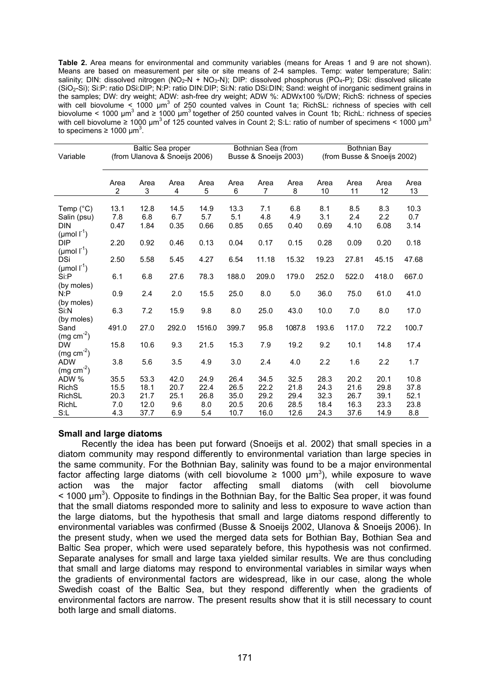**Table 2.** Area means for environmental and community variables (means for Areas 1 and 9 are not shown). Means are based on measurement per site or site means of 2-4 samples. Temp: water temperature; Salin: salinity; DIN: dissolved nitrogen (NO<sub>2</sub>-N + NO<sub>3</sub>-N); DIP: dissolved phosphorus (PO<sub>4</sub>-P); DSi: dissolved silicate (SiO2-Si); Si:P: ratio DSi:DIP; N:P: ratio DIN:DIP; Si:N: ratio DSi:DIN; Sand: weight of inorganic sediment grains in the samples; DW: dry weight; ADW: ash-free dry weight; ADW %: ADWx100 %/DW; RichS: richness of species with cell biovolume < 1000  $\mu$ m<sup>3</sup> of 250 counted valves in Count 1a; RichSL: richness of species with cell biovolume < 1000  $\mu$ m<sup>3</sup> and ≥ 1000  $\mu$ m<sup>3</sup> together of 250 counted valves in Count 1b; RichL: richness of species with cell biovolume  $\geq 1000 \mu m^3$  of 125 counted valves in Count 2; S:L: ratio of number of specimens < 1000  $\mu m^3$ to specimens  $\geq 1000 \mu m^3$ .

|                                        | <b>Baltic Sea proper</b>      |      |       | Bothnian Sea (from    |       |       | Bothnian Bay                |       |       |       |       |
|----------------------------------------|-------------------------------|------|-------|-----------------------|-------|-------|-----------------------------|-------|-------|-------|-------|
| Variable                               | (from Ulanova & Snoeijs 2006) |      |       | Busse & Snoeijs 2003) |       |       | (from Busse & Snoeijs 2002) |       |       |       |       |
|                                        |                               |      |       |                       |       |       |                             |       |       |       |       |
|                                        | Area                          | Area | Area  | Area                  | Area  | Area  | Area                        | Area  | Area  | Area  | Area  |
|                                        | 2                             | 3    | 4     | 5                     | 6     | 7     | 8                           | 10    | 11    | 12    | 13    |
|                                        |                               |      |       |                       |       |       |                             |       |       |       |       |
| Temp $(^{\circ}C)$                     | 13.1                          | 12.8 | 14.5  | 14.9                  | 13.3  | 7.1   | 6.8                         | 8.1   | 8.5   | 8.3   | 10.3  |
| Salin (psu)                            | 7.8                           | 6.8  | 6.7   | 5.7                   | 5.1   | 4.8   | 4.9                         | 3.1   | 2.4   | 2.2   | 0.7   |
| <b>DIN</b>                             | 0.47                          | 1.84 | 0.35  | 0.66                  | 0.85  | 0.65  | 0.40                        | 0.69  | 4.10  | 6.08  | 3.14  |
| ( $\mu$ mol $\Gamma^1$ )<br><b>DIP</b> | 2.20                          | 0.92 | 0.46  | 0.13                  | 0.04  | 0.17  | 0.15                        | 0.28  | 0.09  | 0.20  | 0.18  |
| ( $\mu$ mol $\Gamma^1$ )               |                               |      |       |                       |       |       |                             |       |       |       |       |
| <b>DSi</b>                             | 2.50                          | 5.58 | 5.45  | 4.27                  | 6.54  | 11.18 | 15.32                       | 19.23 | 27.81 | 45.15 | 47.68 |
| ( $\mu$ mol $\Gamma^1$ )               |                               |      |       |                       |       |       |                             |       |       |       |       |
| Si:P                                   | 6.1                           | 6.8  | 27.6  | 78.3                  | 188.0 | 209.0 | 179.0                       | 252.0 | 522.0 | 418.0 | 667.0 |
| (by moles)                             |                               |      |       |                       |       |       |                             |       |       |       |       |
| N: P                                   | 0.9                           | 2.4  | 2.0   | 15.5                  | 25.0  | 8.0   | 5.0                         | 36.0  | 75.0  | 61.0  | 41.0  |
| (by moles)<br>Si:N                     | 6.3                           | 7.2  | 15.9  | 9.8                   | 8.0   | 25.0  | 43.0                        | 10.0  | 7.0   | 8.0   | 17.0  |
| (by moles)                             |                               |      |       |                       |       |       |                             |       |       |       |       |
| Sand                                   | 491.0                         | 27.0 | 292.0 | 1516.0                | 399.7 | 95.8  | 1087.8                      | 193.6 | 117.0 | 72.2  | 100.7 |
| $(mg cm-2)$                            |                               |      |       |                       |       |       |                             |       |       |       |       |
| <b>DW</b>                              | 15.8                          | 10.6 | 9.3   | 21.5                  | 15.3  | 7.9   | 19.2                        | 9.2   | 10.1  | 14.8  | 17.4  |
| $(mg cm-2)$                            |                               |      |       |                       |       |       |                             |       |       |       |       |
| <b>ADW</b>                             | 3.8                           | 5.6  | 3.5   | 4.9                   | 3.0   | 2.4   | 4.0                         | 2.2   | 1.6   | 2.2   | 1.7   |
| $(mg cm-2)$                            |                               |      |       |                       |       |       |                             |       |       |       |       |
| ADW %                                  | 35.5                          | 53.3 | 42.0  | 24.9                  | 26.4  | 34.5  | 32.5                        | 28.3  | 20.2  | 20.1  | 10.8  |
| <b>Rich<sub>S</sub></b>                | 15.5                          | 18.1 | 20.7  | 22.4                  | 26.5  | 22.2  | 21.8                        | 24.3  | 21.6  | 29.8  | 37.8  |
| <b>RichSL</b>                          | 20.3                          | 21.7 | 25.1  | 26.8                  | 35.0  | 29.2  | 29.4                        | 32.3  | 26.7  | 39.1  | 52.1  |
| RichL                                  | 7.0                           | 12.0 | 9.6   | 8.0                   | 20.5  | 20.6  | 28.5                        | 18.4  | 16.3  | 23.3  | 23.8  |
| S: L                                   | 4.3                           | 37.7 | 6.9   | 5.4                   | 10.7  | 16.0  | 12.6                        | 24.3  | 37.6  | 14.9  | 8.8   |

### **Small and large diatoms**

Recently the idea has been put forward (Snoeijs et al. 2002) that small species in a diatom community may respond differently to environmental variation than large species in the same community. For the Bothnian Bay, salinity was found to be a major environmental factor affecting large diatoms (with cell biovolume  $\geq 1000$  µm<sup>3</sup>), while exposure to wave action was the major factor affecting small diatoms (with cell biovolume  $<$  1000  $\mu$ m<sup>3</sup>). Opposite to findings in the Bothnian Bay, for the Baltic Sea proper, it was found that the small diatoms responded more to salinity and less to exposure to wave action than the large diatoms, but the hypothesis that small and large diatoms respond differently to environmental variables was confirmed (Busse & Snoeijs 2002, Ulanova & Snoeijs 2006). In the present study, when we used the merged data sets for Bothian Bay, Bothian Sea and Baltic Sea proper, which were used separately before, this hypothesis was not confirmed. Separate analyses for small and large taxa yielded similar results. We are thus concluding that small and large diatoms may respond to environmental variables in similar ways when the gradients of environmental factors are widespread, like in our case, along the whole Swedish coast of the Baltic Sea, but they respond differently when the gradients of environmental factors are narrow. The present results show that it is still necessary to count both large and small diatoms.